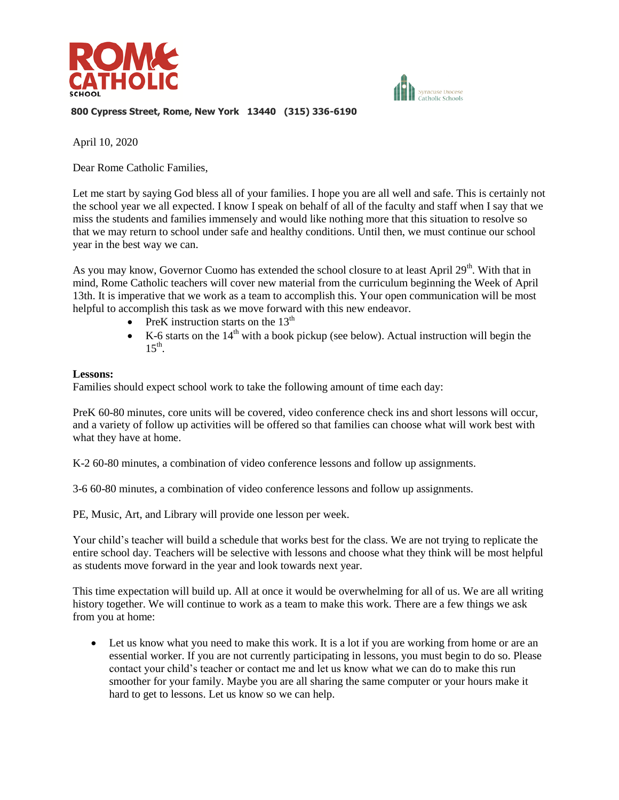



**800 Cypress Street, Rome, New York 13440 (315) 336-6190**

April 10, 2020

Dear Rome Catholic Families,

Let me start by saying God bless all of your families. I hope you are all well and safe. This is certainly not the school year we all expected. I know I speak on behalf of all of the faculty and staff when I say that we miss the students and families immensely and would like nothing more that this situation to resolve so that we may return to school under safe and healthy conditions. Until then, we must continue our school year in the best way we can.

As you may know, Governor Cuomo has extended the school closure to at least April 29<sup>th</sup>. With that in mind, Rome Catholic teachers will cover new material from the curriculum beginning the Week of April 13th. It is imperative that we work as a team to accomplish this. Your open communication will be most helpful to accomplish this task as we move forward with this new endeavor.

- PreK instruction starts on the  $13<sup>th</sup>$
- K-6 starts on the  $14<sup>th</sup>$  with a book pickup (see below). Actual instruction will begin the  $15^{\text{th}}$ .

#### **Lessons:**

Families should expect school work to take the following amount of time each day:

PreK 60-80 minutes, core units will be covered, video conference check ins and short lessons will occur, and a variety of follow up activities will be offered so that families can choose what will work best with what they have at home.

K-2 60-80 minutes, a combination of video conference lessons and follow up assignments.

3-6 60-80 minutes, a combination of video conference lessons and follow up assignments.

PE, Music, Art, and Library will provide one lesson per week.

Your child's teacher will build a schedule that works best for the class. We are not trying to replicate the entire school day. Teachers will be selective with lessons and choose what they think will be most helpful as students move forward in the year and look towards next year.

This time expectation will build up. All at once it would be overwhelming for all of us. We are all writing history together. We will continue to work as a team to make this work. There are a few things we ask from you at home:

 Let us know what you need to make this work. It is a lot if you are working from home or are an essential worker. If you are not currently participating in lessons, you must begin to do so. Please contact your child's teacher or contact me and let us know what we can do to make this run smoother for your family. Maybe you are all sharing the same computer or your hours make it hard to get to lessons. Let us know so we can help.